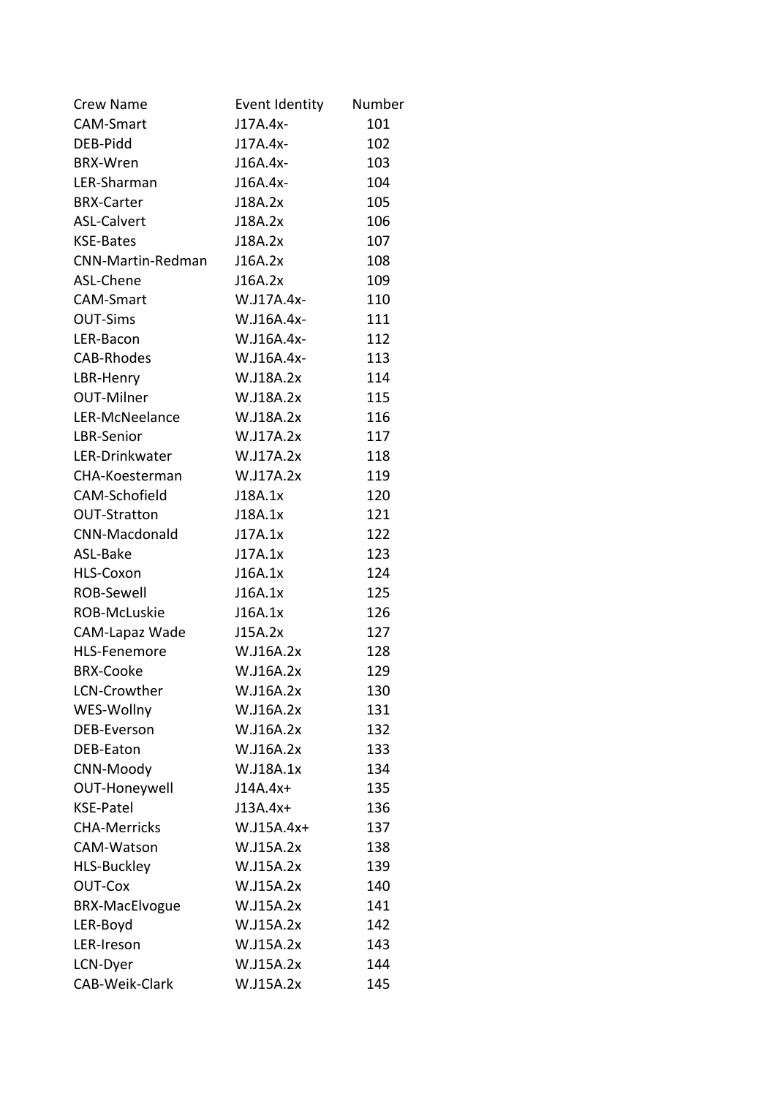| <b>Crew Name</b>         | Event Identity | Number |
|--------------------------|----------------|--------|
| <b>CAM-Smart</b>         | J17A.4x-       | 101    |
| DEB-Pidd                 | J17A.4x-       | 102    |
| <b>BRX-Wren</b>          | $J16A.4x-$     | 103    |
| LER-Sharman              | $J16A.4x-$     | 104    |
| <b>BRX-Carter</b>        | J18A.2x        | 105    |
| <b>ASL-Calvert</b>       | J18A.2x        | 106    |
| <b>KSE-Bates</b>         | J18A.2x        | 107    |
| <b>CNN-Martin-Redman</b> | J16A.2x        | 108    |
| ASL-Chene                | J16A.2x        | 109    |
| <b>CAM-Smart</b>         | W.J17A.4x-     | 110    |
| <b>OUT-Sims</b>          | W.J16A.4x-     | 111    |
| LER-Bacon                | W.J16A.4x-     | 112    |
| <b>CAB-Rhodes</b>        | W.J16A.4x-     | 113    |
| LBR-Henry                | W.J18A.2x      | 114    |
| <b>OUT-Milner</b>        | W.J18A.2x      | 115    |
| LER-McNeelance           | W.J18A.2x      | 116    |
| LBR-Senior               | W.J17A.2x      | 117    |
| LER-Drinkwater           | W.J17A.2x      | 118    |
| CHA-Koesterman           | W.J17A.2x      | 119    |
| CAM-Schofield            | J18A.1x        | 120    |
| <b>OUT-Stratton</b>      | J18A.1x        | 121    |
| <b>CNN-Macdonald</b>     | J17A.1x        | 122    |
| ASL-Bake                 | J17A.1x        | 123    |
| HLS-Coxon                | J16A.1x        | 124    |
| <b>ROB-Sewell</b>        | J16A.1x        | 125    |
| ROB-McLuskie             | J16A.1x        | 126    |
| CAM-Lapaz Wade           | J15A.2x        | 127    |
| <b>HLS-Fenemore</b>      | W.J16A.2x      | 128    |
| <b>BRX-Cooke</b>         | W.J16A.2x      | 129    |
| LCN-Crowther             | W.J16A.2x      | 130    |
| WES-Wollny               | W.J16A.2x      | 131    |
| DEB-Everson              | W.J16A.2x      | 132    |
| DEB-Eaton                | W.J16A.2x      | 133    |
| CNN-Moody                | W.J18A.1x      | 134    |
| OUT-Honeywell            | $J14A.4x+$     | 135    |
| <b>KSE-Patel</b>         | $J13A.4x+$     | 136    |
| <b>CHA-Merricks</b>      | $W.J15A.4x+$   | 137    |
| <b>CAM-Watson</b>        | W.J15A.2x      | 138    |
| <b>HLS-Buckley</b>       | W.J15A.2x      | 139    |
| <b>OUT-Cox</b>           | W.J15A.2x      | 140    |
| <b>BRX-MacElvogue</b>    | W.J15A.2x      | 141    |
| LER-Boyd                 | W.J15A.2x      | 142    |
| LER-Ireson               | W.J15A.2x      | 143    |
| LCN-Dyer                 | W.J15A.2x      | 144    |
| CAB-Weik-Clark           | W.J15A.2x      | 145    |